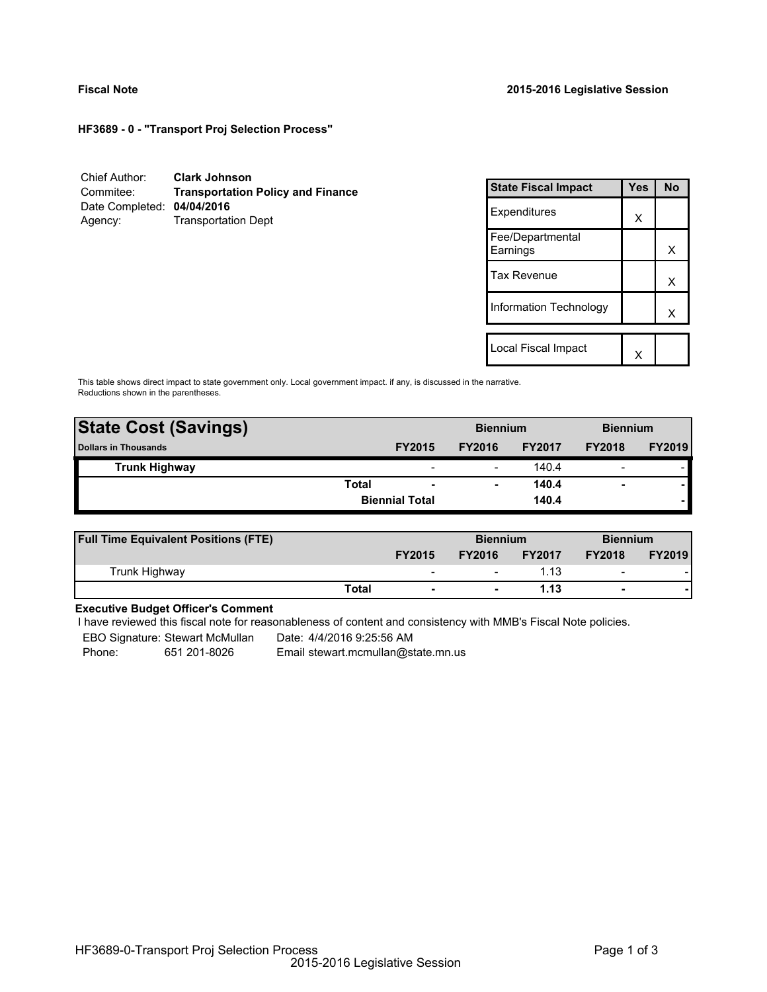**HF3689 - 0 - "Transport Proj Selection Process"**

| Chief Author:              | <b>Clark Johnson</b>                     |
|----------------------------|------------------------------------------|
| Commitee:                  | <b>Transportation Policy and Finance</b> |
| Date Completed: 04/04/2016 |                                          |
| Agency:                    | <b>Transportation Dept</b>               |

| <b>State Fiscal Impact</b>   | Yes | <b>No</b> |  |
|------------------------------|-----|-----------|--|
| Expenditures                 | X   |           |  |
| Fee/Departmental<br>Earnings |     | x         |  |
| <b>Tax Revenue</b>           |     | x         |  |
| Information Technology       |     | x         |  |
| Local Fiscal Impact          |     |           |  |
|                              |     |           |  |

This table shows direct impact to state government only. Local government impact. if any, is discussed in the narrative. Reductions shown in the parentheses.

| <b>State Cost (Savings)</b> |       |                          | <b>Biennium</b> |               | <b>Biennium</b>          |               |
|-----------------------------|-------|--------------------------|-----------------|---------------|--------------------------|---------------|
| <b>Dollars in Thousands</b> |       | <b>FY2015</b>            | <b>FY2016</b>   | <b>FY2017</b> | <b>FY2018</b>            | <b>FY2019</b> |
| <b>Trunk Highway</b>        |       | $\overline{\phantom{a}}$ |                 | 140.4         | $\overline{\phantom{0}}$ |               |
|                             | Total | $\overline{\phantom{0}}$ |                 | 140.4         | $\overline{\phantom{0}}$ |               |
|                             |       | <b>Biennial Total</b>    |                 | 140.4         |                          |               |
|                             |       |                          |                 |               |                          |               |

| <b>Full Time Equivalent Positions (FTE)</b> |              |                          | <b>Biennium</b> |               | <b>Biennium</b>          |               |
|---------------------------------------------|--------------|--------------------------|-----------------|---------------|--------------------------|---------------|
|                                             |              | <b>FY2015</b>            | <b>FY2016</b>   | <b>FY2017</b> | <b>FY2018</b>            | <b>FY2019</b> |
| Trunk Highway                               |              | $\overline{\phantom{0}}$ | -               | 1.13          | $\overline{\phantom{0}}$ |               |
|                                             | <b>Total</b> | $\blacksquare$           |                 | 1.13          | $\blacksquare$           |               |

# **Executive Budget Officer's Comment**

I have reviewed this fiscal note for reasonableness of content and consistency with MMB's Fiscal Note policies.

EBO Signature: Stewart McMullan Date: 4/4/2016 9:25:56 AM

Phone: 651 201-8026 Email stewart.mcmullan@state.mn.us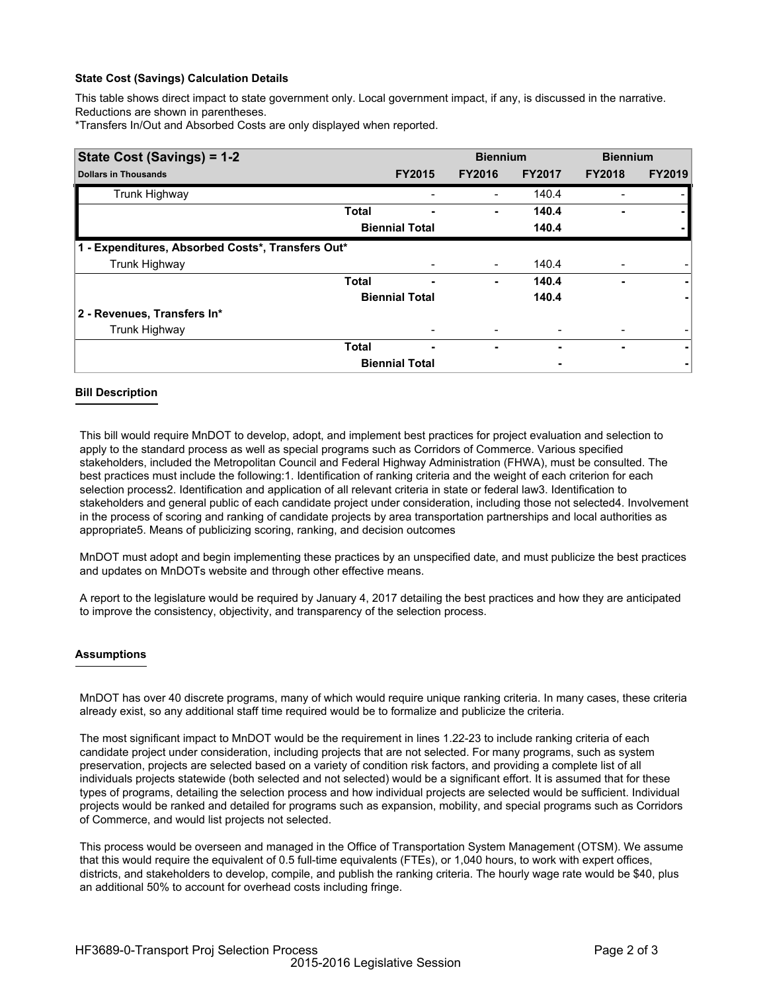## **State Cost (Savings) Calculation Details**

This table shows direct impact to state government only. Local government impact, if any, is discussed in the narrative. Reductions are shown in parentheses.

\*Transfers In/Out and Absorbed Costs are only displayed when reported.

| State Cost (Savings) = 1-2                        |              |                       | <b>Biennium</b> |               | <b>Biennium</b> |               |
|---------------------------------------------------|--------------|-----------------------|-----------------|---------------|-----------------|---------------|
| <b>Dollars in Thousands</b>                       |              | <b>FY2015</b>         | <b>FY2016</b>   | <b>FY2017</b> | <b>FY2018</b>   | <b>FY2019</b> |
| Trunk Highway                                     |              |                       |                 | 140.4         |                 |               |
|                                                   | <b>Total</b> |                       | ٠               | 140.4         |                 |               |
|                                                   |              | <b>Biennial Total</b> |                 | 140.4         |                 |               |
| 1 - Expenditures, Absorbed Costs*, Transfers Out* |              |                       |                 |               |                 |               |
| Trunk Highway                                     |              |                       |                 | 140.4         |                 |               |
|                                                   | <b>Total</b> | -                     | ٠               | 140.4         | -               | ۰             |
|                                                   |              | <b>Biennial Total</b> |                 | 140.4         |                 |               |
| 2 - Revenues, Transfers In*                       |              |                       |                 |               |                 |               |
| Trunk Highway                                     |              |                       |                 |               |                 |               |
|                                                   | <b>Total</b> | ٠                     | ۰               |               | ۰               | ۰             |
|                                                   |              | <b>Biennial Total</b> |                 |               |                 |               |

## **Bill Description**

This bill would require MnDOT to develop, adopt, and implement best practices for project evaluation and selection to apply to the standard process as well as special programs such as Corridors of Commerce. Various specified stakeholders, included the Metropolitan Council and Federal Highway Administration (FHWA), must be consulted. The best practices must include the following:1. Identification of ranking criteria and the weight of each criterion for each selection process2. Identification and application of all relevant criteria in state or federal law3. Identification to stakeholders and general public of each candidate project under consideration, including those not selected4. Involvement in the process of scoring and ranking of candidate projects by area transportation partnerships and local authorities as appropriate5. Means of publicizing scoring, ranking, and decision outcomes

MnDOT must adopt and begin implementing these practices by an unspecified date, and must publicize the best practices and updates on MnDOTs website and through other effective means.

A report to the legislature would be required by January 4, 2017 detailing the best practices and how they are anticipated to improve the consistency, objectivity, and transparency of the selection process.

## **Assumptions**

MnDOT has over 40 discrete programs, many of which would require unique ranking criteria. In many cases, these criteria already exist, so any additional staff time required would be to formalize and publicize the criteria.

The most significant impact to MnDOT would be the requirement in lines 1.22-23 to include ranking criteria of each candidate project under consideration, including projects that are not selected. For many programs, such as system preservation, projects are selected based on a variety of condition risk factors, and providing a complete list of all individuals projects statewide (both selected and not selected) would be a significant effort. It is assumed that for these types of programs, detailing the selection process and how individual projects are selected would be sufficient. Individual projects would be ranked and detailed for programs such as expansion, mobility, and special programs such as Corridors of Commerce, and would list projects not selected.

This process would be overseen and managed in the Office of Transportation System Management (OTSM). We assume that this would require the equivalent of 0.5 full-time equivalents (FTEs), or 1,040 hours, to work with expert offices, districts, and stakeholders to develop, compile, and publish the ranking criteria. The hourly wage rate would be \$40, plus an additional 50% to account for overhead costs including fringe.